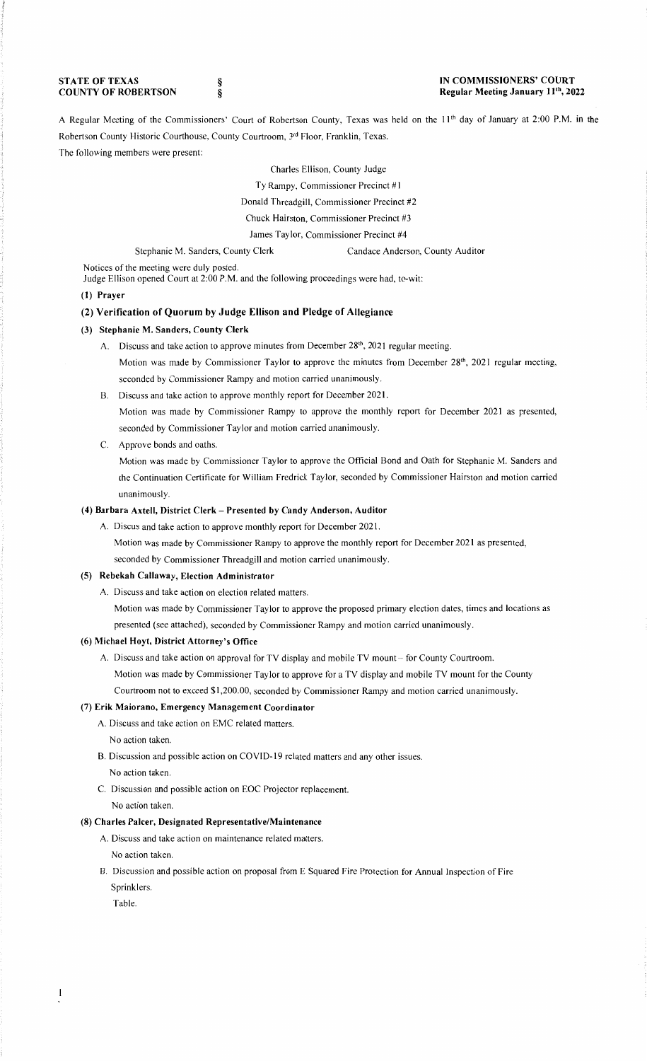**STATE OF TEXAS COUNTY OF ROBERTSON**  § §

A Regular Meeting of the Commissioners' Court of Robertson County, Texas was held on the 11<sup>th</sup> day of January at 2:00 P.M. in the Robertson County Historic Courthouse, County Courtroom, 3rd Floor, Franklin, Texas. The following members were present:

Charles Ellison, County Judge

Ty Rampy, Commissioner Precinct #1

Donald Threadgill, Commissioner Precinct #2

Chuck Hairston, Commissioner Precinct #3

James Taylor, Commissioner Precinct #4

Stephanie M. Sanders, County Clerk Candace Anderson, County Auditor

Notices of the meeting were duly posted.

Judge Ellison opened Court at 2:00 P.M. and the following proceedings were had, to-wit:

### **(I) Prayer**

### **(2) Verification of Quorum by Judge Ellison and Pledge of Allegiance**

#### **(3) Stephanie M. Sanders, County Clerk**

- A. Discuss and take action to approve minutes from December 28<sup>th</sup>, 2021 regular meeting. Motion was made by Commissioner Taylor to approve the minutes from December 28<sup>th</sup>, 2021 regular meeting, seconded by Commissioner Rampy and motion carried unanimously.
- B. Discuss and take action to approve monthly report for December 2021. Motion was made by Commissioner Rampy to approve the monthly report for December 2021 as presented, seconded by Commissioner Taylor and motion carried unanimously.
- C. Approve bonds and oaths.

Motion was made by Commissioner Taylor to approve the Official Bond and Oath for Stephanie M. Sanders and the Continuation Certificate for William Fredrick Taylor, seconded by Commissioner Hairston and motion carried unanimously.

## **(4) Barbara Axtell, District Clerk - Presented by Candy Anderson, Auditor**

A. Discus and take action to approve monthly report for December 2021.

Motion was made by Commissioner Rampy to approve the monthly report for December 2021 as presented,

seconded by Commissioner Threadgill and motion carried unanimously.

## **(5) Rebekah Callaway, Election Administrator**

A. Discuss and take action on election related matters.

Motion was made by Commissioner Taylor to approve the proposed primary election dates, times and locations as presented (see attached), seconded by Commissioner Rampy and motion carried unanimously.

### **(6) Michael Hoyt, District Attorney's Office**

A. Discuss and take action on approval for TV display and mobile TV mount - for County Courtroom. Motion was made by Commissioner Taylor to approve for a TV display and mobile TV mount for the County Courtroom not to exceed\$ 1,200.00, seconded by Commissioner Rampy and motion carried unanimously.

# (7) **Erik Maiorano, Emergency Management Coordinator**

A. Discuss and take action on EMC related matters.

- No action taken.
- B. Discussion and possible action on COVID-19 related matters and any other issues. No action taken.
- C. Discussion and possible action on EOC Projector replacement.

No action taken.

# **(8) Charles Palcer, Designated Representative/Maintenance**

- A. Discuss and take action on maintenance related matters.
- No action taken.
- B. Discussion and possible action on proposal from E Squared Fire Protection for Annual Inspection of Fire Sprinklers.

Table.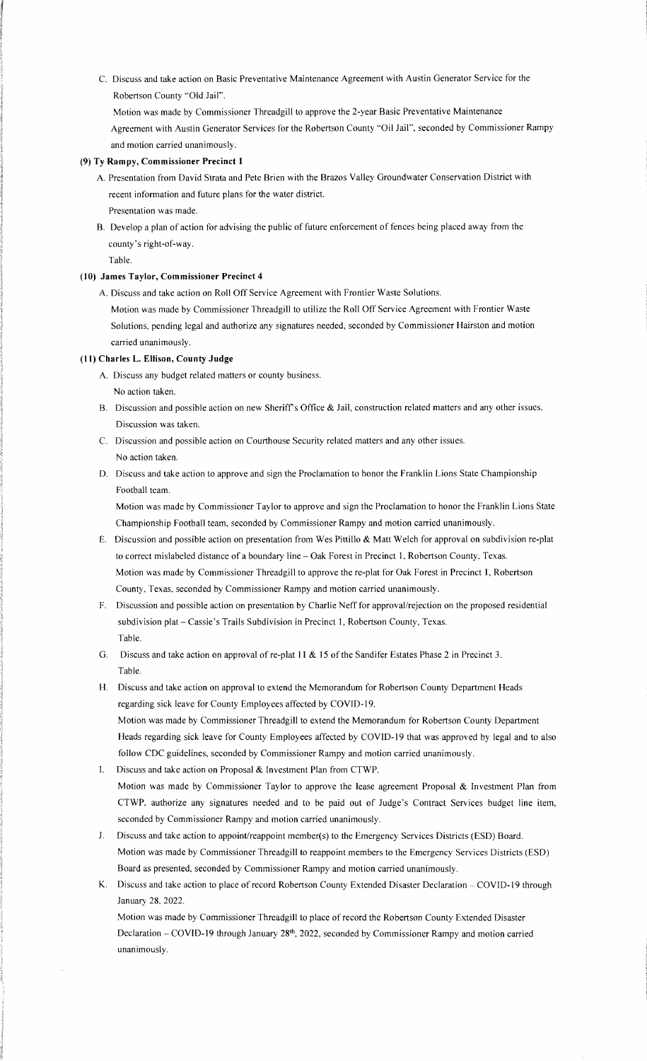C. Discuss and take action on Basic Preventative Maintenance Agreement with Austin Generator Service for the Robertson County "Old Jail".

Motion was made by Commissioner Threadgill to approve the 2-year Basic Preventative Maintenance Agreement with Austin Generator Services for the Robertson County "Oil Jail", seconded by Commissioner Rampy and motion carried unanimously.

### **(9) Ty Rampy, Commissioner Precinct I**

- A. Presentation from David Strata and Pete Brien with the Brazos Valley Groundwater Conservation District with recent information and future plans for the water district.
- Presentation was made. B. Develop a plan of action for advising the public of future enforcement of fences being placed away from the
	- county's right-of-way.

Table.

## **(10) James Taylor, Commissioner Precinct 4**

A. Discuss and take action on Roll Off Service Agreement with Frontier Waste Solutions.

Motion was made by Commissioner Threadgill to utilize the Roll Off Service Agreement with Frontier Waste Solutions, pending legal and authorize any signatures needed, seconded by Commissioner Hairston and motion carried unanimously.

# **(I I) Charles L. Ellison, County Judge**

- A. Discuss any budget related matters or county business. No action taken.
- B. Discussion and possible action on new Sheriff's Office & Jail, construction related matters and any other issues. Discussion was taken.
- C. Discussion and possible action on Courthouse Security related matters and any other issues. No action taken.
- D. Discuss and take action to approve and sign the Proclamation to honor the Franklin Lions State Championship Football team.

Motion was made by Commissioner Taylor to approve and sign the Proclamation to honor the Franklin Lions State Championship Football team, seconded by Commissioner Rampy and motion carried unanimously.

- E. Discussion and possible action on presentation from Wes Pittillo & Matt Welch for approval on subdivision re-plat to correct mislabeled distance of a boundary line - Oak Forest in Precinct 1, Robertson County, Texas. Motion was made by Commissioner Threadgill to approve the re-plat for Oak Forest in Precinct I, Robertson County, Texas, seconded by Commissioner Rampy and motion carried unanimously.
- F. Discussion and possible action on presentation by Charlie Neff for approval/rejection on the proposed residential subdivision plat - Cassie's Trails Subdivision in Precinct 1, Robertson County, Texas. Table.
- G. Discuss and take action on approval of re-plat **11** & 15 of the Sandifer Estates Phase 2 in Precinct 3. Table.
- H. Discuss and take action on approval to extend the Memorandum for Robertson County Department Heads regarding sick leave for County Employees affected by COVID-19. Motion was made by Commissioner Threadgill to extend the Memorandum for Robertson County Department Heads regarding sick leave for County Employees affected by COVID-19 that was approved by legal and to also follow CDC guidelines, seconded by Commissioner Rampy and motion carried unanimously.
- I. Discuss and take action on Proposal & Investment Plan from CTWP. Motion was made by Commissioner Taylor to approve the lease agreement Proposal & Investment Plan from CTWP. authorize any signatures needed and to be paid out of Judge's Contract Services budget line item, seconded by Commissioner Rampy and motion carried unanimously.
- J. Discuss and take action to appoint/reappoint member(s) to the Emergency Services Districts (ESD) Board. Motion was made by Commissioner Threadgill to reappoint members to the Emergency Services Districts (ESD) Board as presented, seconded by Commissioner Rampy and motion carried unanimously.
- K. Discuss and take action to place of record Robertson County Extended Disaster Declaration COVID-19 through January 28. 2022.

Motion was made by Commissioner Threadgill to place of record the Robertson County Extended Disaster Declaration - COVID-19 through January 28<sup>th</sup>, 2022, seconded by Commissioner Rampy and motion carried unanimously.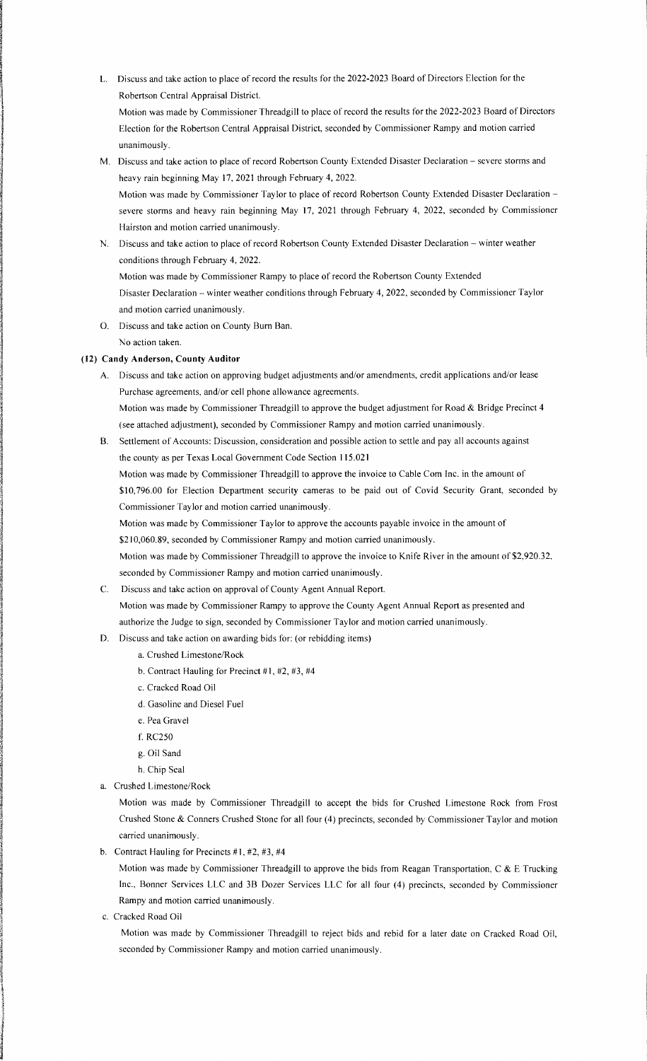- L. Discuss and take action to place of record the results for the 2022-2023 Board of Directors Election for the Robertson Central Appraisal District. Motion was made by Commissioner Threadgill to place of record the results for the 2022-2023 Board of Directors
	- Election for the Robertson Central Appraisal District, seconded by Commissioner Rampy and motion carried unanimously.
- M. Discuss and take action to place of record Robertson County Extended Disaster Declaration severe storms and heavy rain beginning May 17, 2021 through February 4, 2022.
	- Motion was made by Commissioner Taylor to place of record Robertson County Extended Disaster Declaration severe storms and heavy rain beginning May 17, 2021 through February 4, 2022, seconded by Commissioner Hairston and motion carried unanimously.
- N. Discuss and take action to place of record Robertson County Extended Disaster Declaration winter weather conditions through February 4, 2022. Motion was made by Commissioner Rampy to place of record the Robertson County Extended
	- Disaster Declaration winter weather conditions through February 4, 2022, seconded by Commissioner Taylor and motion carried unanimously.
- 0. Discuss and take action on County Burn Ban. No action taken.

## **(12) Candy Anderson, County Auditor**

- A. Discuss and take action on approving budget adjustments and/or amendments, credit applications and/or lease Purchase agreements, and/or cell phone allowance agreements. Motion was made by Commissioner Threadgill to approve the budget adjustment for Road & Bridge Precinct 4 (see attached adjustment), seconded by Commissioner Rampy and motion carried unanimously.
- B. Settlement of Accounts: Discussion, consideration and possible action to settle and pay all accounts against the county as per Texas Local Government Code Section 115.021

Motion was made by Commissioner Threadgill to approve the invoice to Cable Com Inc. in the amount of \$10,796.00 for Election Department security cameras to be paid out of Covid Security Grant, seconded by Commissioner Taylor and motion carried unanimously.

Motion was made by Commissioner Taylor to approve the accounts payable invoice in the amount of

\$210,060.89, seconded by Commissioner Rampy and motion carried unanimously.

Motion was made by Commissioner Threadgill to approve the invoice to Knife River in the amount of \$2,920.32, seconded by Commissioner Rampy and motion carried unanimously.

C. Discuss and take action on approval of County Agent Annual Report. Motion was made by Commissioner Rampy to approve the County Agent Annual Report as presented and

authorize the Judge to sign, seconded by Commissioner Taylor and motion carried unanimously.

- D. Discuss and take action on awarding bids for: (or rebidding items)
	- a. Crushed Limestone/Rock
	- b. Contract Hauling for Precinct #1, #2, #3, #4
	- c. Cracked Road Oil
	- d. Gasoline and Diesel Fuel
	- e. Pea Gravel
	- f. RC250
	- g. Oil Sand
	- h. Chip Seal
- a. Crushed Limestone/Rock

Motion was made by Commissioner Threadgill to accept the bids for Crushed Limestone Rock from Frost Crushed Stone & Conners Crushed Stone for all four (4) precincts, seconded by Commissioner Taylor and motion carried unanimously.

b. Contract Hauling for Precincts  $#1, #2, #3, #4$ 

Motion was made by Commissioner Threadgill to approve the bids from Reagan Transportation, C & E Trucking Inc., Bonner Services LLC and 3B Dozer Services LLC for all four (4) precincts, seconded by Commissioner Rampy and motion carried unanimously.

c. Cracked Road Oil

Motion was made by Commissioner Threadgill to reject bids and rebid for a later date on Cracked Road Oil, seconded by Commissioner Rampy and motion carried unanimously.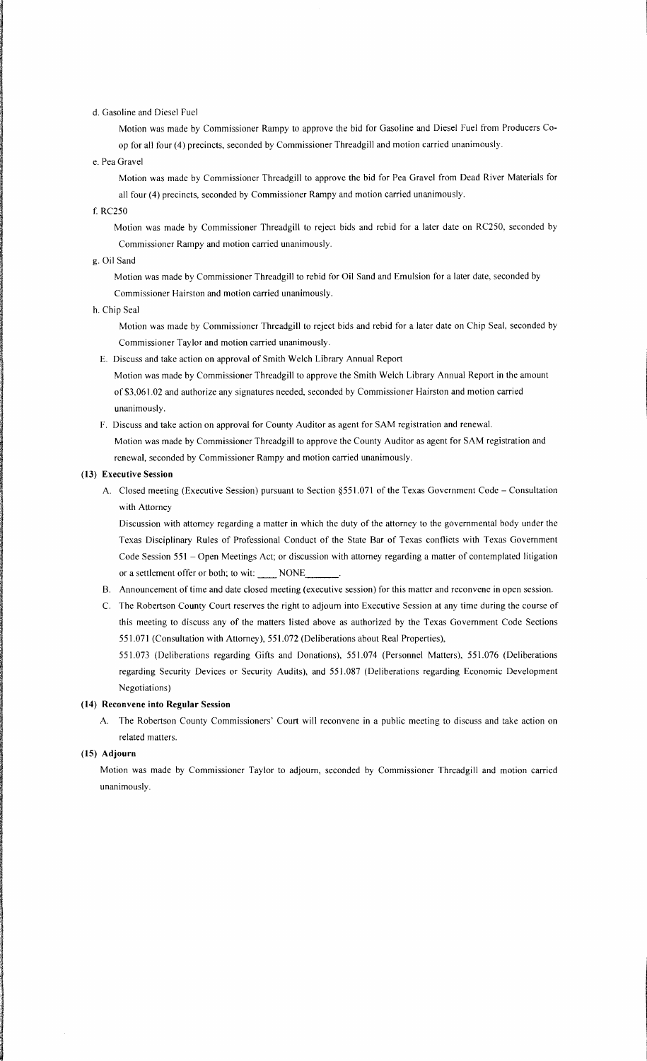## d. Gasoline and Diesel Fuel

Motion was made by Commissioner Rampy to approve the bid for Gasoline and Diesel Fuel from Producers Coop for all four (4) precincts, seconded by Commissioner Threadgill and motion carried unanimously.

## e. Pea Gravel

Motion was made by Commissioner Threadgill to approve the bid for Pea Gravel from Dead River Materials for all four (4) precincts, seconded by Commissioner Rampy and motion carried unanimously.

f. RC250

Motion was made by Commissioner Threadgill to reject bids and rebid for a later date on RC250, seconded by Commissioner Rampy and motion carried unanimously.

### g. Oil Sand

Motion was made by Commissioner Threadgill to rebid for Oil Sand and Emulsion for a later date, seconded by Commissioner Hairston and motion carried unanimously.

#### h. Chip Seal

Motion was made by Commissioner Threadgill to reject bids and rebid for a later date on Chip Seal, seconded by Commissioner Taylor and motion carried unanimously.

E. Discuss and take action on approval of Smith Welch Library Annual Report

Motion was made by Commissioner Threadgill to approve the Smith Welch Library Annual Report in the amount of \$3,061.02 and authorize any signatures needed, seconded by Commissioner Hairston and motion carried unanimously.

F. Discuss and take action on approval for County Auditor as agent for SAM registration and renewal. Motion was made by Commissioner Threadgill to approve the County Auditor as agent for SAM registration and renewal, seconded by Commissioner Rampy and motion carried unanimously.

#### **(13) Executive Session**

A. Closed meeting (Executive Session) pursuant to Section §551.071 of the Texas Government Code - Consultation with Attorney

Discussion with attorney regarding a matter in which the duty of the attorney to the governmental body under the Texas Disciplinary Rules of Professional Conduct of the State Bar of Texas conflicts with Texas Government Code Session 551 - Open Meetings Act; or discussion with attorney regarding a matter of contemplated litigation or a settlement offer or both; to wit: \_\_\_\_\_ NONE

- B. Announcement of time and date closed meeting (executive session) for this matter and reconvene in open session.
- C. The Robertson County Court reserves the right to adjourn into Executive Session at any time during the course of this meeting to discuss any of the matters listed above as authorized by the Texas Government Code Sections 551.071 (Consultation with Attorney), 551.072 (Deliberations about Real Properties),

551.073 (Deliberations regarding Gifts and Donations), 551.074 (Personnel Matters), 551.076 (Deliberations regarding Security Devices or Security Audits), and 551.087 (Deliberations regarding Economic Development Negotiations)

## **(14) Reconvene into Regular Session**

A. The Robertson County Commissioners' Court will reconvene in a public meeting to discuss and take action on related matters.

### **(15) Adjourn**

the second conducts.<br>The conducts of the conducts of the conducts of the conducts of the conducts of the conducts of the conducts o<br>The conducts of the conducts of the conducts of the conducts of the conducts of the conduc

.I

I

Motion was made by Commissioner Taylor to adjourn, seconded by Commissioner Threadgill and motion carried unanimously.